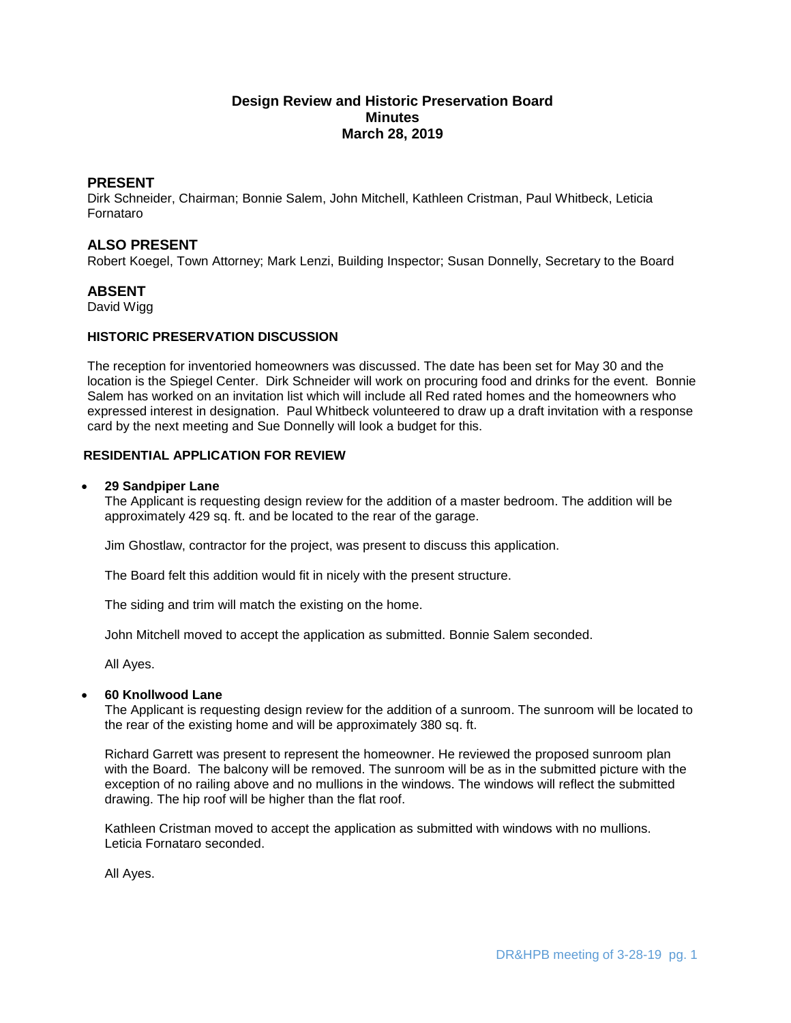# **Design Review and Historic Preservation Board Minutes March 28, 2019**

# **PRESENT**

Dirk Schneider, Chairman; Bonnie Salem, John Mitchell, Kathleen Cristman, Paul Whitbeck, Leticia Fornataro

# **ALSO PRESENT**

Robert Koegel, Town Attorney; Mark Lenzi, Building Inspector; Susan Donnelly, Secretary to the Board

# **ABSENT**

David Wigg

# **HISTORIC PRESERVATION DISCUSSION**

The reception for inventoried homeowners was discussed. The date has been set for May 30 and the location is the Spiegel Center. Dirk Schneider will work on procuring food and drinks for the event. Bonnie Salem has worked on an invitation list which will include all Red rated homes and the homeowners who expressed interest in designation. Paul Whitbeck volunteered to draw up a draft invitation with a response card by the next meeting and Sue Donnelly will look a budget for this.

# **RESIDENTIAL APPLICATION FOR REVIEW**

#### **29 Sandpiper Lane**

The Applicant is requesting design review for the addition of a master bedroom. The addition will be approximately 429 sq. ft. and be located to the rear of the garage.

Jim Ghostlaw, contractor for the project, was present to discuss this application.

The Board felt this addition would fit in nicely with the present structure.

The siding and trim will match the existing on the home.

John Mitchell moved to accept the application as submitted. Bonnie Salem seconded.

All Ayes.

### **60 Knollwood Lane**

The Applicant is requesting design review for the addition of a sunroom. The sunroom will be located to the rear of the existing home and will be approximately 380 sq. ft.

Richard Garrett was present to represent the homeowner. He reviewed the proposed sunroom plan with the Board. The balcony will be removed. The sunroom will be as in the submitted picture with the exception of no railing above and no mullions in the windows. The windows will reflect the submitted drawing. The hip roof will be higher than the flat roof.

Kathleen Cristman moved to accept the application as submitted with windows with no mullions. Leticia Fornataro seconded.

All Ayes.